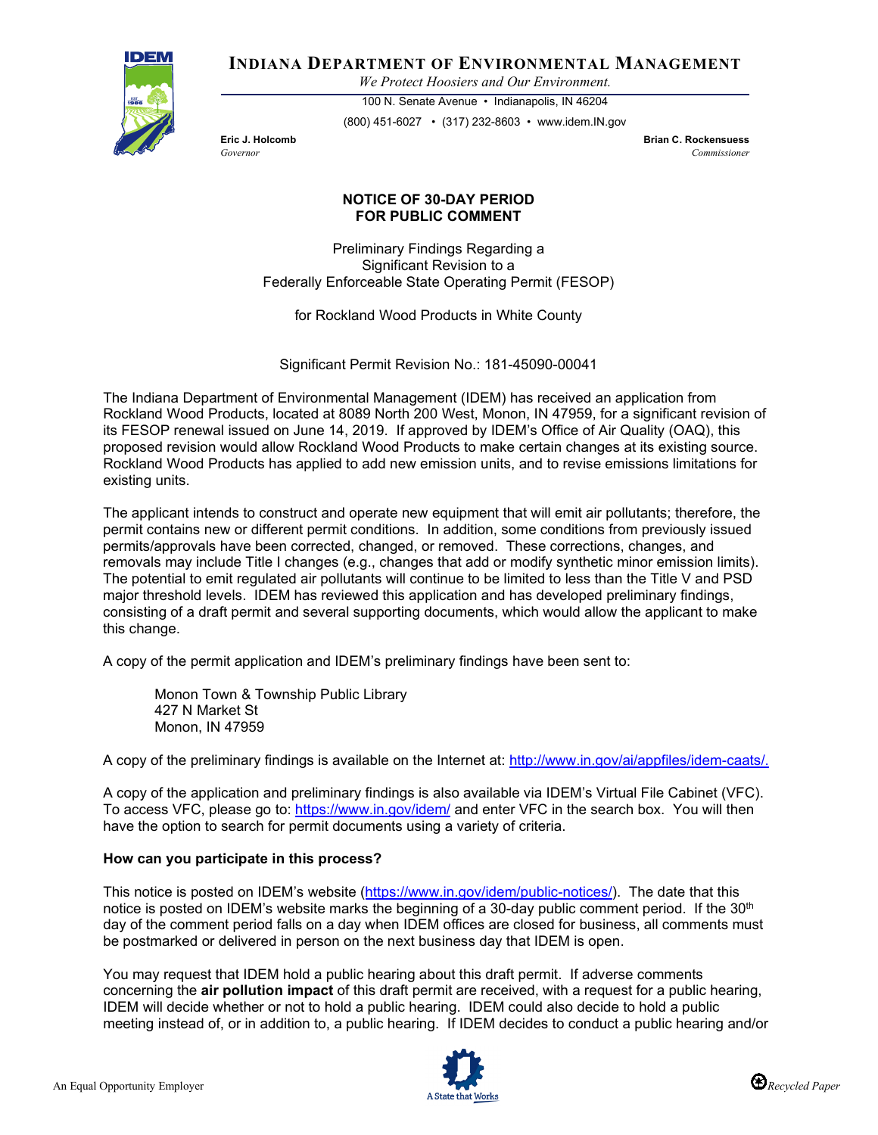

**INDIANA DEPARTMENT OF ENVIRONMENTAL MANAGEMENT**

*We Protect Hoosiers and Our Environment.*

100 N. Senate Avenue • Indianapolis, IN 46204 (800) 451-6027 • (317) 232-8603 • www.idem.IN.gov

**Eric J. Holcomb Brian C. Rockensuess** *Governor Commissioner* 

## **NOTICE OF 30-DAY PERIOD FOR PUBLIC COMMENT**

Preliminary Findings Regarding a Significant Revision to a Federally Enforceable State Operating Permit (FESOP)

for Rockland Wood Products in White County

Significant Permit Revision No.: 181-45090-00041

The Indiana Department of Environmental Management (IDEM) has received an application from Rockland Wood Products, located at 8089 North 200 West, Monon, IN 47959, for a significant revision of its FESOP renewal issued on June 14, 2019. If approved by IDEM's Office of Air Quality (OAQ), this proposed revision would allow Rockland Wood Products to make certain changes at its existing source. Rockland Wood Products has applied to add new emission units, and to revise emissions limitations for existing units.

The applicant intends to construct and operate new equipment that will emit air pollutants; therefore, the permit contains new or different permit conditions. In addition, some conditions from previously issued permits/approvals have been corrected, changed, or removed. These corrections, changes, and removals may include Title I changes (e.g., changes that add or modify synthetic minor emission limits). The potential to emit regulated air pollutants will continue to be limited to less than the Title V and PSD major threshold levels. IDEM has reviewed this application and has developed preliminary findings, consisting of a draft permit and several supporting documents, which would allow the applicant to make this change.

A copy of the permit application and IDEM's preliminary findings have been sent to:

Monon Town & Township Public Library 427 N Market St Monon, IN 47959

A copy of the preliminary findings is available on the Internet at: [http://www.in.gov/ai/appfiles/idem-caats/.](http://www.in.gov/ai/appfiles/idem-caats/)

A copy of the application and preliminary findings is also available via IDEM's Virtual File Cabinet (VFC). To access VFC, please go to:<https://www.in.gov/idem/> and enter VFC in the search box. You will then have the option to search for permit documents using a variety of criteria.

## **How can you participate in this process?**

This notice is posted on IDEM's website [\(https://www.in.gov/idem/public-notices/\)](https://www.in.gov/idem/public-notices/). The date that this notice is posted on IDEM's website marks the beginning of a 30-day public comment period. If the 30<sup>th</sup> day of the comment period falls on a day when IDEM offices are closed for business, all comments must be postmarked or delivered in person on the next business day that IDEM is open.

You may request that IDEM hold a public hearing about this draft permit. If adverse comments concerning the **air pollution impact** of this draft permit are received, with a request for a public hearing, IDEM will decide whether or not to hold a public hearing. IDEM could also decide to hold a public meeting instead of, or in addition to, a public hearing. If IDEM decides to conduct a public hearing and/or